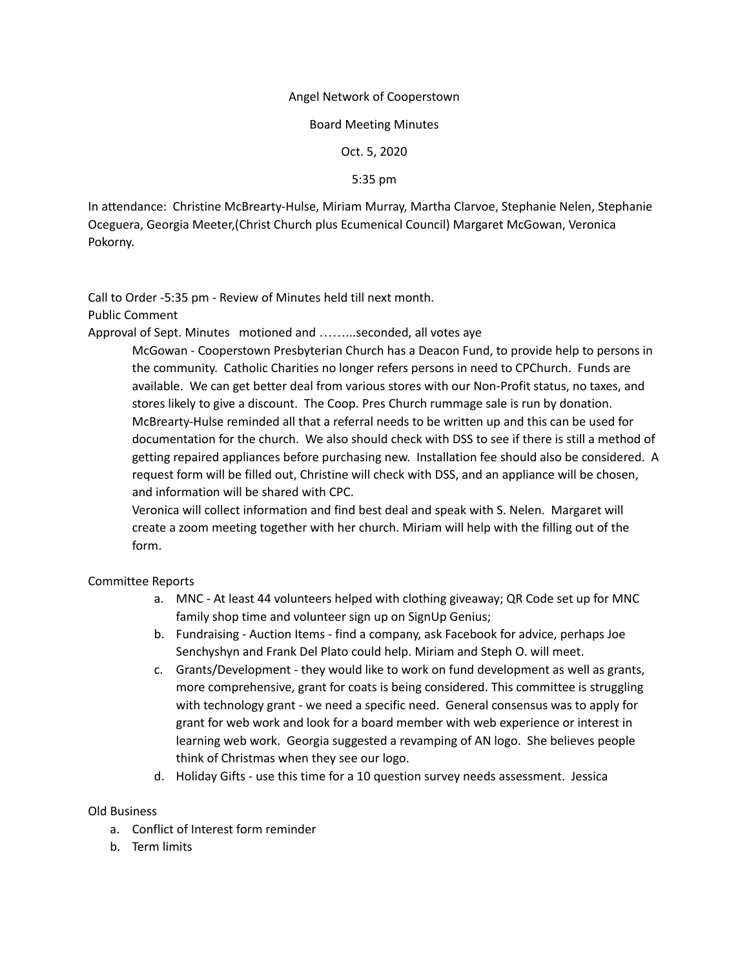### Angel Network of Cooperstown

#### Board Meeting Minutes

Oct. 5, 2020

5:35 pm

In attendance: Christine McBrearty-Hulse, Miriam Murray, Martha Clarvoe, Stephanie Nelen, Stephanie Oceguera, Georgia Meeter,(Christ Church plus Ecumenical Council) Margaret McGowan, Veronica Pokorny.

Call to Order -5:35 pm - Review of Minutes held till next month.

Public Comment

Approval of Sept. Minutes motioned and ……...seconded, all votes aye

McGowan - Cooperstown Presbyterian Church has a Deacon Fund, to provide help to persons in the community. Catholic Charities no longer refers persons in need to CPChurch. Funds are available. We can get better deal from various stores with our Non-Profit status, no taxes, and stores likely to give a discount. The Coop. Pres Church rummage sale is run by donation. McBrearty-Hulse reminded all that a referral needs to be written up and this can be used for documentation for the church. We also should check with DSS to see if there is still a method of getting repaired appliances before purchasing new. Installation fee should also be considered. A request form will be filled out, Christine will check with DSS, and an appliance will be chosen, and information will be shared with CPC.

Veronica will collect information and find best deal and speak with S. Nelen. Margaret will create a zoom meeting together with her church. Miriam will help with the filling out of the form.

Committee Reports

- a. MNC At least 44 volunteers helped with clothing giveaway; QR Code set up for MNC family shop time and volunteer sign up on SignUp Genius;
- b. Fundraising Auction Items find a company, ask Facebook for advice, perhaps Joe Senchyshyn and Frank Del Plato could help. Miriam and Steph O. will meet.
- c. Grants/Development they would like to work on fund development as well as grants, more comprehensive, grant for coats is being considered. This committee is struggling with technology grant - we need a specific need. General consensus was to apply for grant for web work and look for a board member with web experience or interest in learning web work. Georgia suggested a revamping of AN logo. She believes people think of Christmas when they see our logo.
- d. Holiday Gifts use this time for a 10 question survey needs assessment. Jessica

## Old Business

- a. Conflict of Interest form reminder
- b. Term limits